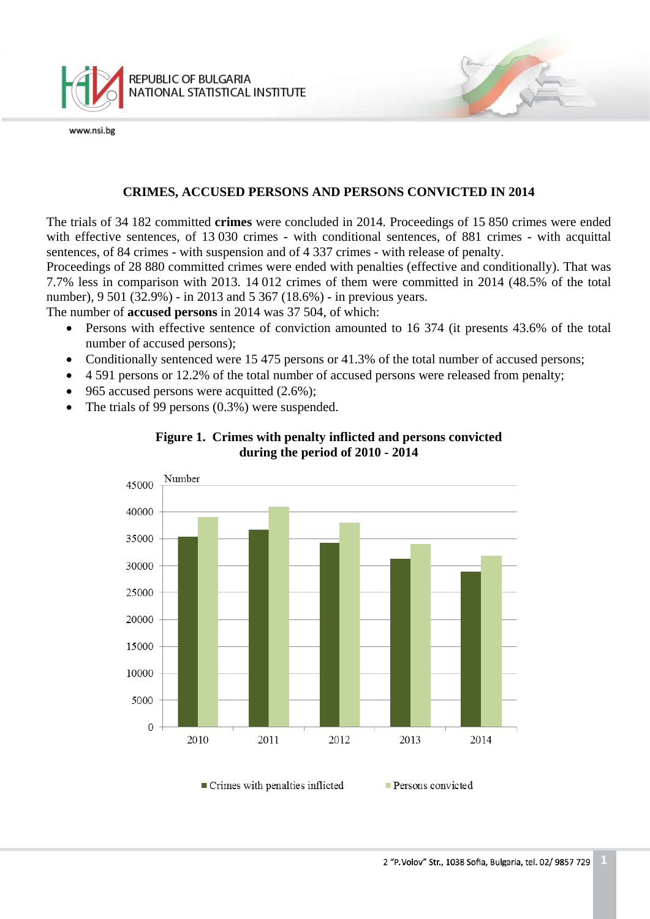

## **CRIMES, ACCUSED PERSONS AND PERSONS CONVICTED IN 2014**

The trials of 34 182 committed **crimes** were concluded in 2014. Proceedings of 15 850 crimes were ended with effective sentences, of 13 030 crimes - with conditional sentences, of 881 crimes - with acquittal sentences, of 84 crimes - with suspension and of 4 337 crimes - with release of penalty.

Proceedings of 28 880 committed crimes were ended with penalties (effective and conditionally). That was 7.7% less in comparison with 2013. 14 012 crimes of them were committed in 2014 (48.5% of the total number), 9 501 (32.9%) - in 2013 and 5 367 (18.6%) - in previous years.

The number of **accused persons** in 2014 was 37 504, of which:

- Persons with effective sentence of conviction amounted to 16 374 (it presents 43.6% of the total number of accused persons);
- Conditionally sentenced were 15 475 persons or 41.3% of the total number of accused persons;
- 4 591 persons or 12.2% of the total number of accused persons were released from penalty;
- 965 accused persons were acquitted  $(2.6\%)$ :
- The trials of 99 persons (0.3%) were suspended.



## **Figure 1. Crimes with penalty inflicted and persons convicted during the period of 2010 - 2014**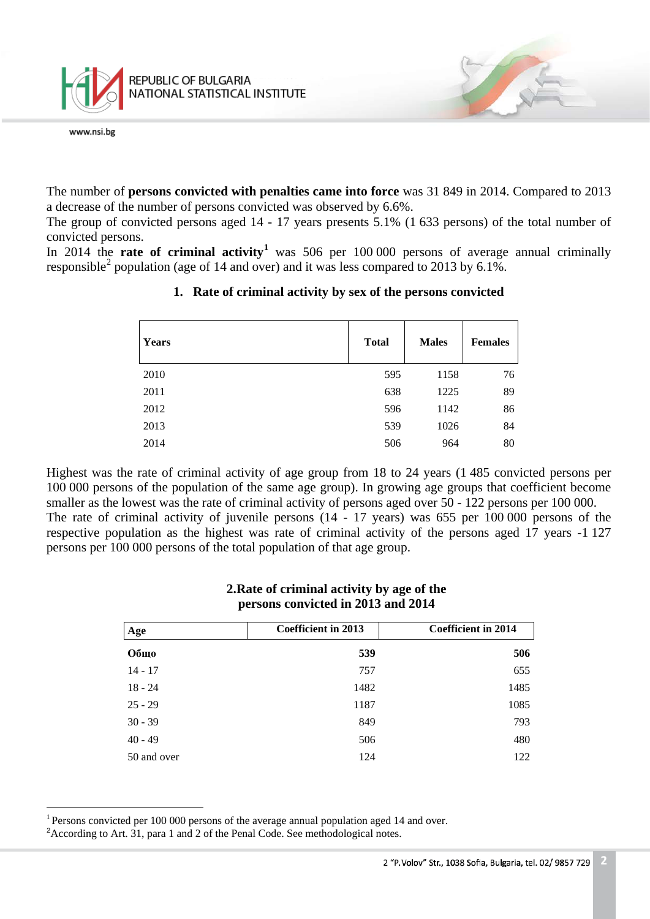

The number of **persons convicted with penalties came into force** was 31 849 in 2014. Compared to 2013 a decrease of the number of persons convicted was observed by 6.6%.

The group of convicted persons aged 14 - 17 years presents 5.1% (1 633 persons) of the total number of convicted persons.

In 20[1](#page-1-0)4 the **rate of criminal activity<sup>1</sup>** was 506 per 100 000 persons of average annual criminally responsible<sup>[2](#page-1-1)</sup> population (age of 14 and over) and it was less compared to 2013 by 6.1%.

| <b>Years</b> | <b>Total</b> | <b>Males</b> | <b>Females</b> |
|--------------|--------------|--------------|----------------|
| 2010         | 595          | 1158         | 76             |
| 2011         | 638          | 1225         | 89             |
| 2012         | 596          | 1142         | 86             |
| 2013         | 539          | 1026         | 84             |
| 2014         | 506          | 964          | 80             |

## **1. Rate of criminal activity by sex of the persons convicted**

Highest was the rate of criminal activity of age group from 18 to 24 years (1 485 convicted persons per 100 000 persons of the population of the same age group). In growing age groups that coefficient become smaller as the lowest was the rate of criminal activity of persons aged over 50 - 122 persons per 100 000. The rate of criminal activity of juvenile persons (14 - 17 years) was 655 per 100 000 persons of the respective population as the highest was rate of criminal activity of the persons aged 17 years -1 127 persons per 100 000 persons of the total population of that age group.

| Age         | <b>Coefficient in 2013</b> | <b>Coefficient in 2014</b> |  |  |
|-------------|----------------------------|----------------------------|--|--|
| Общо        | 539                        | 506                        |  |  |
| $14 - 17$   | 757                        | 655                        |  |  |
| $18 - 24$   | 1482                       | 1485                       |  |  |
| $25 - 29$   | 1187                       | 1085                       |  |  |
| $30 - 39$   | 849                        | 793                        |  |  |
| $40 - 49$   | 506                        | 480                        |  |  |
| 50 and over | 124                        | 122                        |  |  |

#### **2.Rate of criminal activity by age of the persons convicted in 2013 and 2014**

<span id="page-1-0"></span> $1$  Persons convicted per 100 000 persons of the average annual population aged 14 and over.  $\frac{1}{\sqrt{2}}$ 

<span id="page-1-1"></span><sup>&</sup>lt;sup>2</sup> According to Art. 31, para 1 and 2 of the Penal Code. See methodological notes.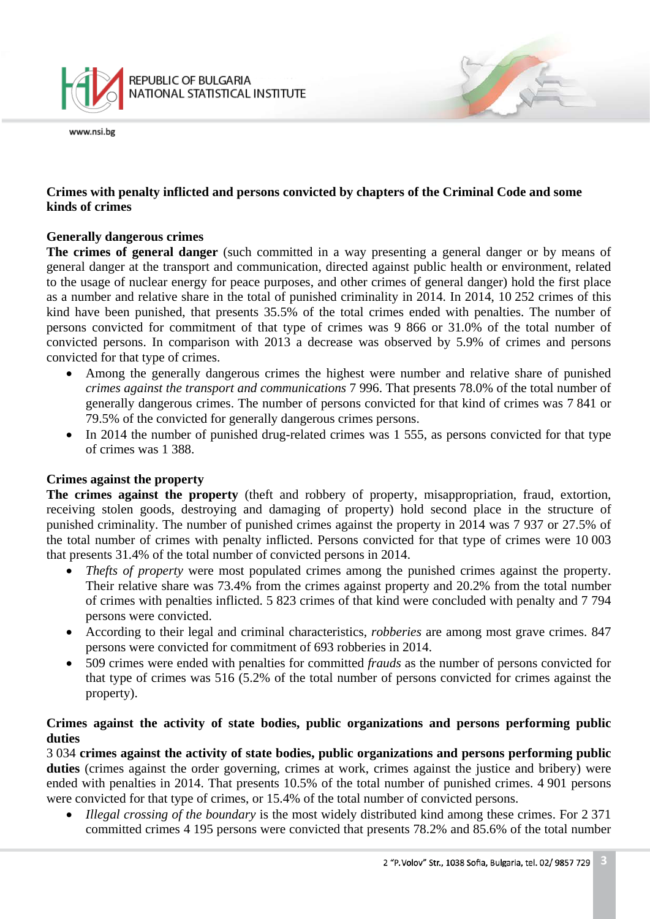

## **Crimes with penalty inflicted and persons convicted by chapters of the Criminal Code and some kinds of crimes**

#### **Generally dangerous crimes**

**The crimes of general danger** (such committed in a way presenting a general danger or by means of general danger at the transport and communication, directed against public health or environment, related to the usage of nuclear energy for peace purposes, and other crimes of general danger) hold the first place as a number and relative share in the total of punished criminality in 2014. In 2014, 10 252 crimes of this kind have been punished, that presents 35.5% of the total crimes ended with penalties. The number of persons convicted for commitment of that type of crimes was 9 866 or 31.0% of the total number of convicted persons. In comparison with 2013 a decrease was observed by 5.9% of crimes and persons convicted for that type of crimes.

- Among the generally dangerous crimes the highest were number and relative share of punished *crimes against the transport and communications* 7 996. That presents 78.0% of the total number of generally dangerous crimes. The number of persons convicted for that kind of crimes was 7 841 or 79.5% of the convicted for generally dangerous crimes persons.
- In 2014 the number of punished drug-related crimes was 1 555, as persons convicted for that type of crimes was 1 388.

#### **Crimes against the property**

**The crimes against the property** (theft and robbery of property, misappropriation, fraud, extortion, receiving stolen goods, destroying and damaging of property) hold second place in the structure of punished criminality. The number of punished crimes against the property in 2014 was 7 937 or 27.5% of the total number of crimes with penalty inflicted. Persons convicted for that type of crimes were 10 003 that presents 31.4% of the total number of convicted persons in 2014.

- *Thefts of property* were most populated crimes among the punished crimes against the property. Their relative share was 73.4% from the crimes against property and 20.2% from the total number of crimes with penalties inflicted. 5 823 crimes of that kind were concluded with penalty and 7 794 persons were convicted.
- According to their legal and criminal characteristics, *robberies* are among most grave crimes. 847 persons were convicted for commitment of 693 robberies in 2014.
- 509 crimes were ended with penalties for committed *frauds* as the number of persons convicted for that type of crimes was 516 (5.2% of the total number of persons convicted for crimes against the property).

## **Crimes against the activity of state bodies, public organizations and persons performing public duties**

3 034 **crimes against the activity of state bodies, public organizations and persons performing public**  duties (crimes against the order governing, crimes at work, crimes against the justice and bribery) were ended with penalties in 2014. That presents 10.5% of the total number of punished crimes. 4 901 persons were convicted for that type of crimes, or 15.4% of the total number of convicted persons.

• *Illegal crossing of the boundary* is the most widely distributed kind among these crimes. For 2 371 committed crimes 4 195 persons were convicted that presents 78.2% and 85.6% of the total number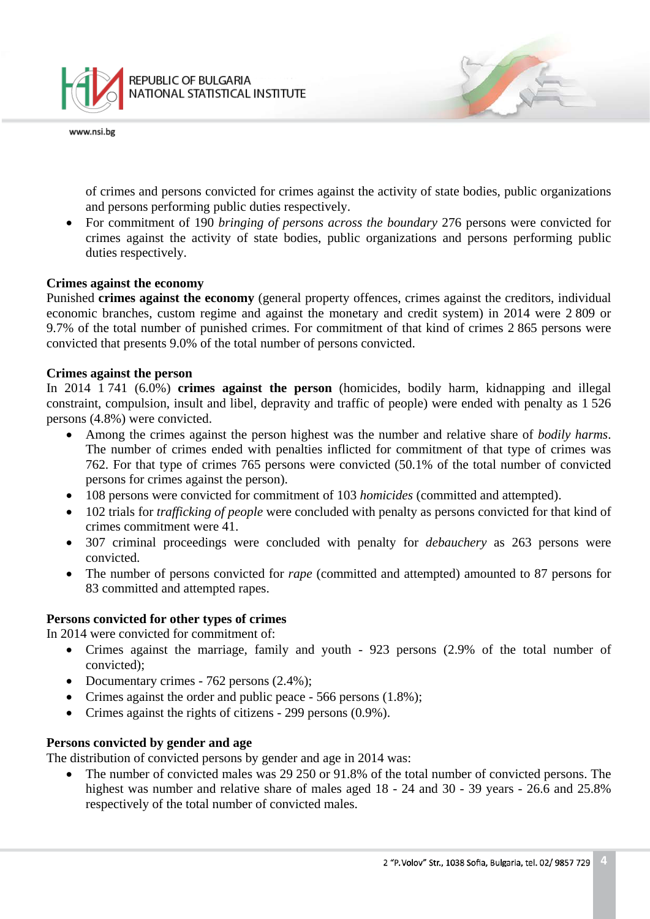

of crimes and persons convicted for crimes against the activity of state bodies, public organizations and persons performing public duties respectively.

• For commitment of 190 *bringing of persons across the boundary* 276 persons were convicted for crimes against the activity of state bodies, public organizations and persons performing public duties respectively.

#### **Crimes against the economy**

Punished **crimes against the economy** (general property offences, crimes against the creditors, individual economic branches, custom regime and against the monetary and credit system) in 2014 were 2 809 or 9.7% of the total number of punished crimes. For commitment of that kind of crimes 2 865 persons were convicted that presents 9.0% of the total number of persons convicted.

#### **Crimes against the person**

In 2014 1 741 (6.0%) **crimes against the person** (homicides, bodily harm, kidnapping and illegal constraint, compulsion, insult and libel, depravity and traffic of people) were ended with penalty as 1 526 persons (4.8%) were convicted.

- Among the crimes against the person highest was the number and relative share of *bodily harms*. The number of crimes ended with penalties inflicted for commitment of that type of crimes was 762. For that type of crimes 765 persons were convicted (50.1% of the total number of convicted persons for crimes against the person).
- 108 persons were convicted for commitment of 103 *homicides* (committed and attempted).
- 102 trials for *trafficking of people* were concluded with penalty as persons convicted for that kind of crimes commitment were 41.
- 307 criminal proceedings were concluded with penalty for *debauchery* as 263 persons were convicted.
- The number of persons convicted for *rape* (committed and attempted) amounted to 87 persons for 83 committed and attempted rapes.

#### **Persons convicted for other types of crimes**

In 2014 were convicted for commitment of:

- Crimes against the marriage, family and youth 923 persons (2.9% of the total number of convicted);
- Documentary crimes 762 persons (2.4%);
- Crimes against the order and public peace 566 persons (1.8%);
- Crimes against the rights of citizens 299 persons (0.9%).

#### **Persons convicted by gender and age**

The distribution of convicted persons by gender and age in 2014 was:

• The number of convicted males was 29 250 or 91.8% of the total number of convicted persons. The highest was number and relative share of males aged 18 - 24 and 30 - 39 years - 26.6 and 25.8% respectively of the total number of convicted males.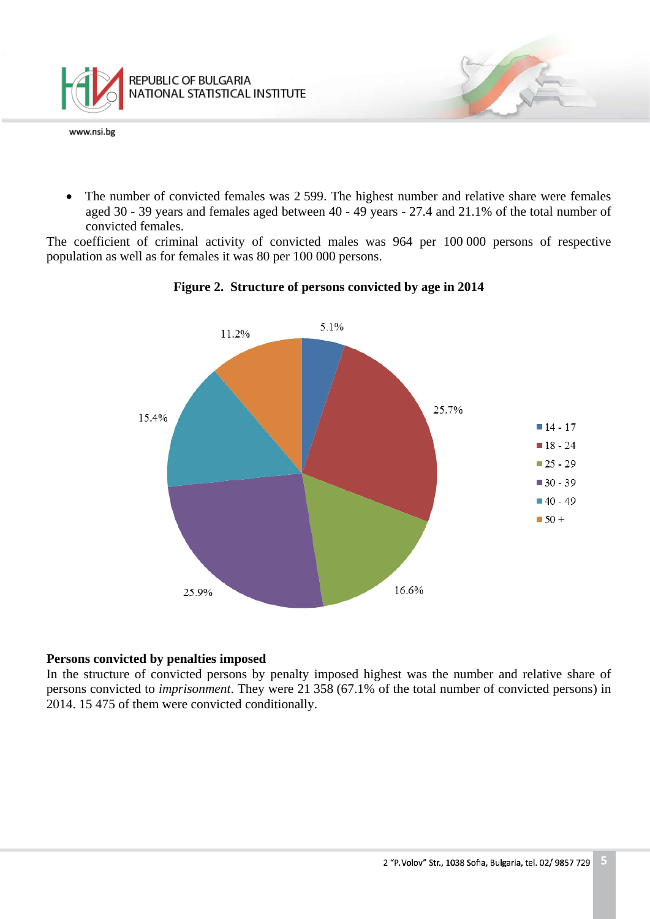

• The number of convicted females was 2 599. The highest number and relative share were females aged 30 - 39 years and females aged between 40 - 49 years - 27.4 and 21.1% of the total number of convicted females.

The coefficient of criminal activity of convicted males was 964 per 100 000 persons of respective population as well as for females it was 80 per 100 000 persons.





#### **Persons convicted by penalties imposed**

In the structure of convicted persons by penalty imposed highest was the number and relative share of persons convicted to *imprisonment*. They were 21 358 (67.1% of the total number of convicted persons) in 2014. 15 475 of them were convicted conditionally.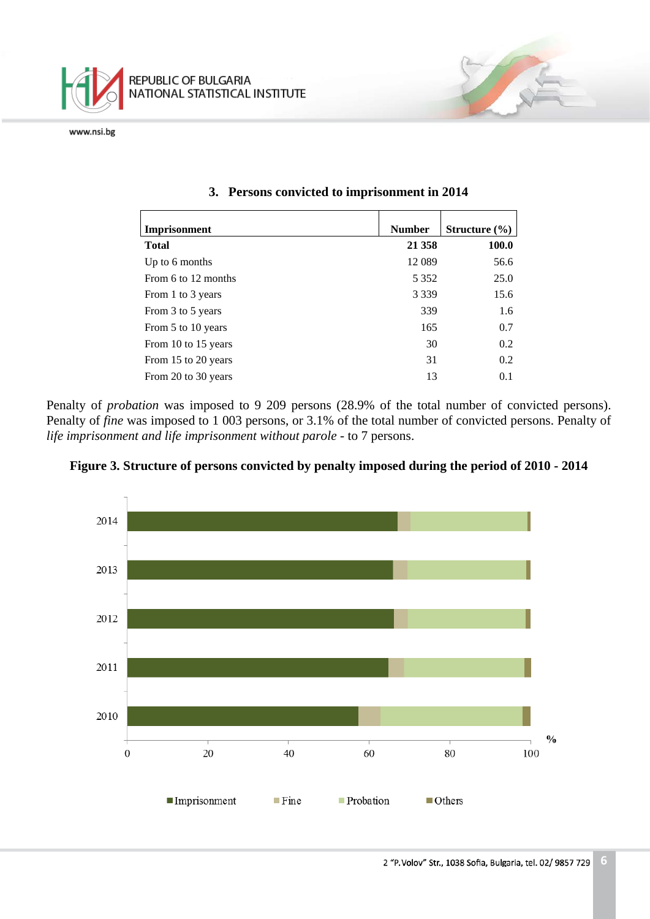

| Imprisonment        | <b>Number</b> | Structure $(\% )$ |
|---------------------|---------------|-------------------|
| <b>Total</b>        | 21 358        | <b>100.0</b>      |
| Up to 6 months      | 12 089        | 56.6              |
| From 6 to 12 months | 5 3 5 2       | 25.0              |
| From 1 to 3 years   | 3 3 3 9       | 15.6              |
| From 3 to 5 years   | 339           | 1.6               |
| From 5 to 10 years  | 165           | 0.7               |
| From 10 to 15 years | 30            | 0.2               |
| From 15 to 20 years | 31            | 0.2               |
| From 20 to 30 years | 13            | 0.1               |

#### **3. Persons convicted to imprisonment in 2014**

Penalty of *probation* was imposed to 9 209 persons (28.9% of the total number of convicted persons). Penalty of *fine* was imposed to 1 003 persons, or 3.1% of the total number of convicted persons. Penalty of *life imprisonment and life imprisonment without parole* - to 7 persons.



**Figure 3. Structure of persons convicted by penalty imposed during the period of 2010 - 2014**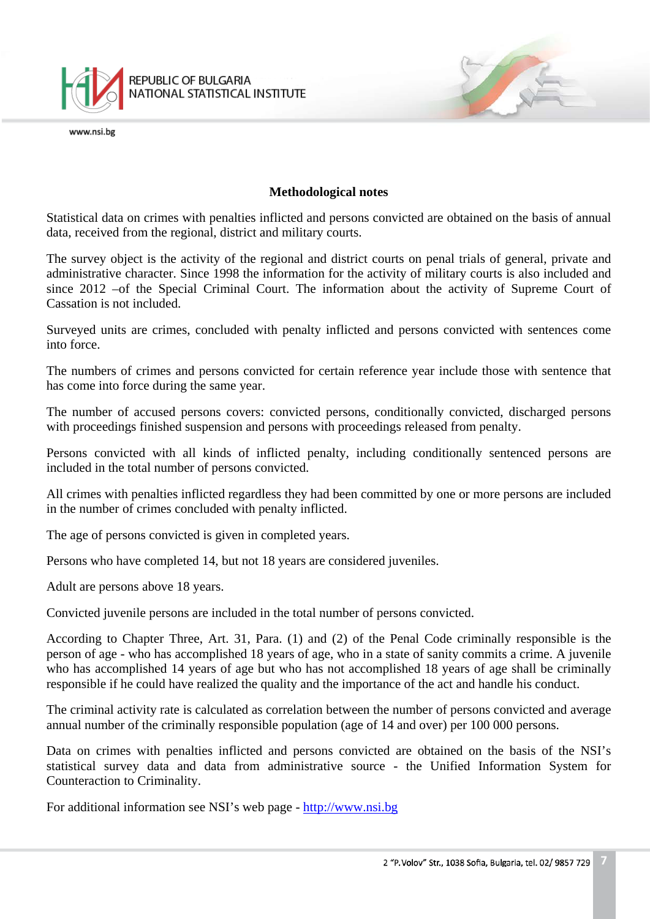

#### **Methodological notes**

Statistical data on crimes with penalties inflicted and persons convicted are obtained on the basis of annual data, received from the regional, district and military courts.

The survey object is the activity of the regional and district courts on penal trials of general, private and administrative character. Since 1998 the information for the activity of military courts is also included and since 2012 –of the Special Criminal Court. The information about the activity of Supreme Court of Cassation is not included.

Surveyed units are crimes, concluded with penalty inflicted and persons convicted with sentences come into force.

The numbers of crimes and persons convicted for certain reference year include those with sentence that has come into force during the same year.

The number of accused persons covers: convicted persons, conditionally convicted, discharged persons with proceedings finished suspension and persons with proceedings released from penalty.

Persons convicted with all kinds of inflicted penalty, including conditionally sentenced persons are included in the total number of persons convicted.

All crimes with penalties inflicted regardless they had been committed by one or more persons are included in the number of crimes concluded with penalty inflicted.

The age of persons convicted is given in completed years.

Persons who have completed 14, but not 18 years are considered juveniles.

Adult are persons above 18 years.

Convicted juvenile persons are included in the total number of persons convicted.

According to Chapter Three, Art. 31, Para. (1) and (2) of the Penal Code criminally responsible is the person of age - who has accomplished 18 years of age, who in a state of sanity commits a crime. A juvenile who has accomplished 14 years of age but who has not accomplished 18 years of age shall be criminally responsible if he could have realized the quality and the importance of the act and handle his conduct.

The criminal activity rate is calculated as correlation between the number of persons convicted and average annual number of the criminally responsible population (age of 14 and over) per 100 000 persons.

Data on crimes with penalties inflicted and persons convicted are obtained on the basis of the NSI's statistical survey data and data from administrative source - the Unified Information System for Counteraction to Criminality.

For additional information see NSI's web page - [http://www.nsi.bg](http://www.nsi.bg/)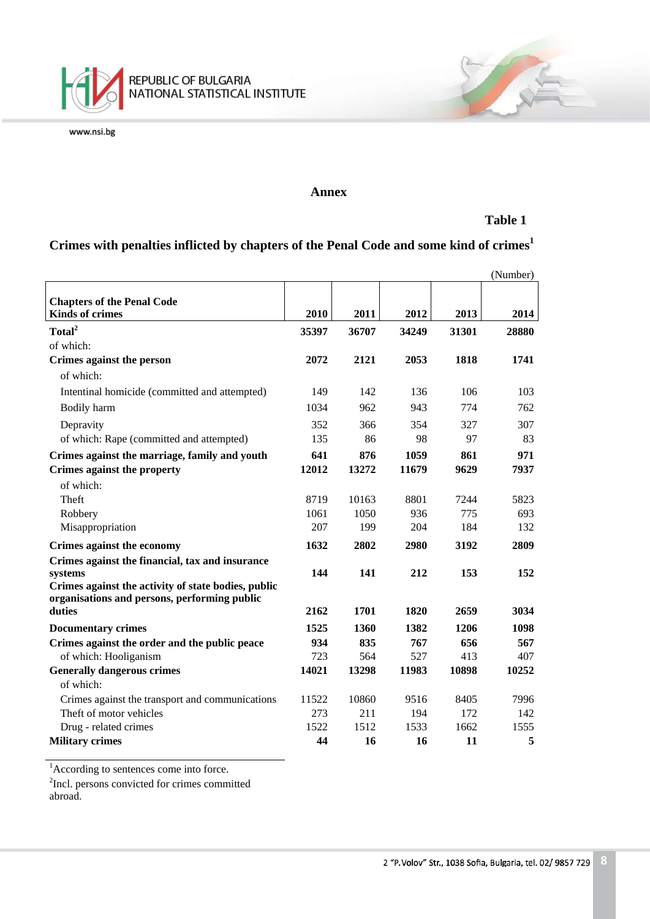

#### **Annex**

## **Table 1**

# **Crimes with penalties inflicted by chapters of the Penal Code and some kind of crimes<sup>1</sup>**

| <b>Chapters of the Penal Code</b><br><b>Kinds of crimes</b><br>2010<br>2011<br>2012<br>2013<br>2014<br>Total <sup>2</sup><br>35397<br>36707<br>34249<br>31301<br>28880<br>of which:<br>2072<br>2121<br>2053<br>1818<br>1741<br>Crimes against the person<br>of which: |
|-----------------------------------------------------------------------------------------------------------------------------------------------------------------------------------------------------------------------------------------------------------------------|
|                                                                                                                                                                                                                                                                       |
|                                                                                                                                                                                                                                                                       |
|                                                                                                                                                                                                                                                                       |
|                                                                                                                                                                                                                                                                       |
|                                                                                                                                                                                                                                                                       |
|                                                                                                                                                                                                                                                                       |
| 149<br>142<br>136<br>106<br>103<br>Intentinal homicide (committed and attempted)                                                                                                                                                                                      |
| 774<br>Bodily harm<br>1034<br>962<br>943<br>762                                                                                                                                                                                                                       |
| 352<br>366<br>354<br>327<br>307<br>Depravity                                                                                                                                                                                                                          |
| 135<br>86<br>98<br>97<br>83<br>of which: Rape (committed and attempted)                                                                                                                                                                                               |
| Crimes against the marriage, family and youth<br>641<br>876<br>1059<br>861<br>971                                                                                                                                                                                     |
| Crimes against the property<br>12012<br>13272<br>11679<br>9629<br>7937                                                                                                                                                                                                |
| of which:                                                                                                                                                                                                                                                             |
| Theft<br>8801<br>7244<br>5823<br>8719<br>10163                                                                                                                                                                                                                        |
| 936<br>775<br>Robbery<br>1061<br>1050<br>693                                                                                                                                                                                                                          |
| 207<br>204<br>184<br>Misappropriation<br>199<br>132                                                                                                                                                                                                                   |
| 2802<br>2809<br>1632<br>2980<br>3192<br>Crimes against the economy                                                                                                                                                                                                    |
| Crimes against the financial, tax and insurance                                                                                                                                                                                                                       |
| 144<br>141<br>212<br>153<br>152<br>systems                                                                                                                                                                                                                            |
| Crimes against the activity of state bodies, public                                                                                                                                                                                                                   |
| organisations and persons, performing public<br>2162<br>1701<br>1820<br>2659<br>3034<br>duties                                                                                                                                                                        |
|                                                                                                                                                                                                                                                                       |
| 1525<br>1206<br>1098<br>1360<br>1382<br><b>Documentary crimes</b>                                                                                                                                                                                                     |
| Crimes against the order and the public peace<br>934<br>835<br>767<br>656<br>567                                                                                                                                                                                      |
| of which: Hooliganism<br>723<br>527<br>407<br>564<br>413<br>11983<br>10252                                                                                                                                                                                            |
| <b>Generally dangerous crimes</b><br>14021<br>13298<br>10898<br>of which:                                                                                                                                                                                             |
| 10860                                                                                                                                                                                                                                                                 |
| Crimes against the transport and communications<br>11522<br>9516<br>8405<br>7996<br>Theft of motor vehicles<br>273<br>211<br>172<br>194<br>142                                                                                                                        |
| 1522<br>1512<br>1533<br>1662<br>1555<br>Drug - related crimes                                                                                                                                                                                                         |
| 5<br><b>Military crimes</b><br>44<br>16<br>16<br>11                                                                                                                                                                                                                   |

<sup>1</sup>According to sentences come into force.

<sup>2</sup>Incl. persons convicted for crimes committed abroad.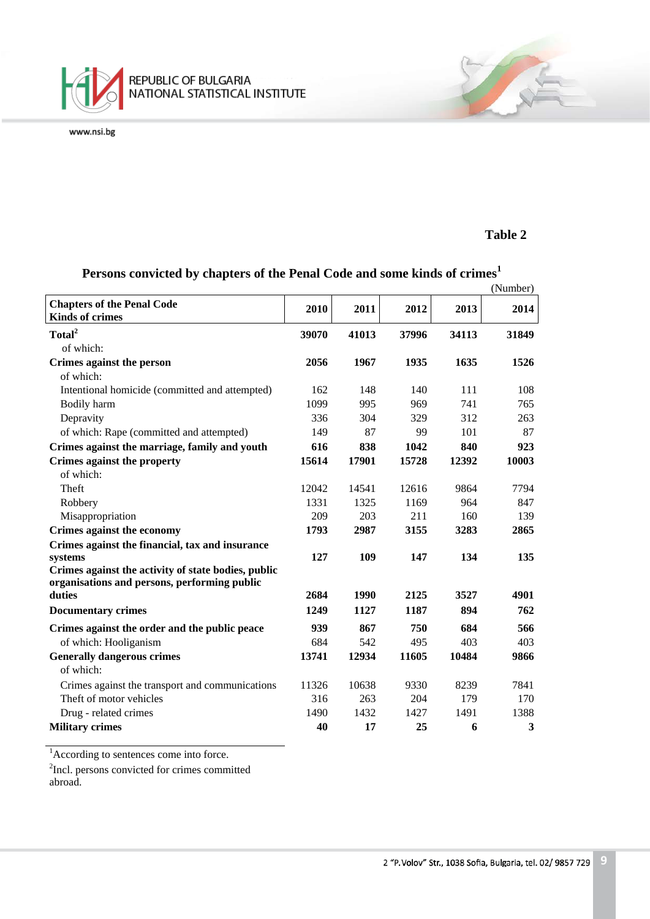

#### **Table 2**

#### (Number) **Chapters of the Penal Code Kinds of crimes <sup>2010</sup> <sup>2011</sup> <sup>2012</sup> <sup>2013</sup> <sup>2014</sup> Total2 39070 41013 37996 34113 31849** of which: **Crimes against the person 2056 1967 1935 1635 1526** of which: Intentional homicide (committed and attempted) 162 148 140 111 108 Bodily harm 1099 995 969 741 765 Depravity 336 304 329 312 263 of which: Rape (committed and attempted) 149 87 99 101 87 **Crimes against the marriage, family and youth 616 838 1042 840 923 Crimes against the property 15614 17901 15728 12392 10003** of which: Theft 12042 14541 12616 9864 7794 Robbery 1331 1325 1169 964 847 Misappropriation 209 203 211 160 139 **Crimes against the economy 1793 2987 3155 3283 2865 Crimes against the financial, tax and insurance systems 127 109 147 134 135 Crimes against the activity of state bodies, public organisations and persons, performing public duties 2684 1990 2125 3527 4901 Documentary crimes 1249 1127 1187 894 762 Crimes against the order and the public peace 939 867 750 684 566** of which: Hooliganism 684 542 495 403 403 **Generally dangerous crimes 13741 12934 11605 10484 9866** of which: Crimes against the transport and communications 11326 10638 9330 8239 7841 Theft of motor vehicles 316 263 204 179 170 Drug - related crimes 1490 1432 1427 1491 1388 **Military crimes 40 17 25 6 3**

## **Persons convicted by chapters of the Penal Code and some kinds of crimes<sup>1</sup>**

<sup>1</sup>According to sentences come into force.

<sup>2</sup>Incl. persons convicted for crimes committed

abroad.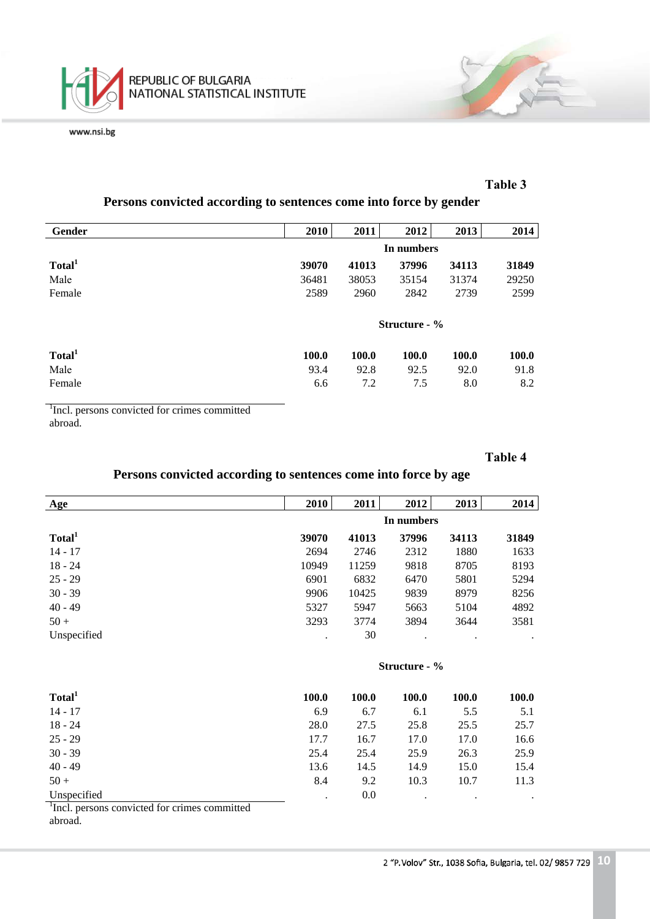

#### **Таble 3**

## **Persons convicted according to sentences come into force by gender**

| Gender             | 2010          | 2011  | 2012         | 2013         | 2014         |
|--------------------|---------------|-------|--------------|--------------|--------------|
|                    | In numbers    |       |              |              |              |
| Total <sup>1</sup> | 39070         | 41013 | 37996        | 34113        | 31849        |
| Male               | 36481         | 38053 | 35154        | 31374        | 29250        |
| Female             | 2589          | 2960  | 2842         | 2739         | 2599         |
|                    |               |       |              |              |              |
|                    | Structure - % |       |              |              |              |
| Total <sup>1</sup> | <b>100.0</b>  | 100.0 | <b>100.0</b> | <b>100.0</b> | <b>100.0</b> |
| Male               | 93.4          | 92.8  | 92.5         | 92.0         | 91.8         |
| Female             | 6.6           | 7.2   | 7.5          | 8.0          | 8.2          |

<sup>1</sup>Incl. persons convicted for crimes committed abroad.

#### **Таble 4**

## **Persons convicted according to sentences come into force by age**

| Age                | 2010  | 2011       | 2012  | 2013  | 2014  |  |
|--------------------|-------|------------|-------|-------|-------|--|
|                    |       | In numbers |       |       |       |  |
| Total <sup>1</sup> | 39070 | 41013      | 37996 | 34113 | 31849 |  |
| $14 - 17$          | 2694  | 2746       | 2312  | 1880  | 1633  |  |
| $18 - 24$          | 10949 | 11259      | 9818  | 8705  | 8193  |  |
| $25 - 29$          | 6901  | 6832       | 6470  | 5801  | 5294  |  |
| $30 - 39$          | 9906  | 10425      | 9839  | 8979  | 8256  |  |
| $40 - 49$          | 5327  | 5947       | 5663  | 5104  | 4892  |  |
| $50 +$             | 3293  | 3774       | 3894  | 3644  | 3581  |  |
| Unspecified        | ٠     | 30         | ٠     | ٠     |       |  |

#### **Structure - %**

| Total <sup>1</sup> | 100.0 | <b>100.0</b> | 100.0   | 100.0 | <b>100.0</b> |
|--------------------|-------|--------------|---------|-------|--------------|
| $14 - 17$          | 6.9   | 6.7          | 6.1     | 5.5   | 5.1          |
| $18 - 24$          | 28.0  | 27.5         | 25.8    | 25.5  | 25.7         |
| $25 - 29$          | 17.7  | 16.7         | 17.0    | 17.0  | 16.6         |
| $30 - 39$          | 25.4  | 25.4         | 25.9    | 26.3  | 25.9         |
| $40 - 49$          | 13.6  | 14.5         | 14.9    | 15.0  | 15.4         |
| $50 +$             | 8.4   | 9.2          | 10.3    | 10.7  | 11.3         |
| Unspecified<br>——  | ٠     | 0.0          | $\cdot$ | ٠     | $\bullet$    |

<sup>1</sup>Incl. persons convicted for crimes committed abroad.